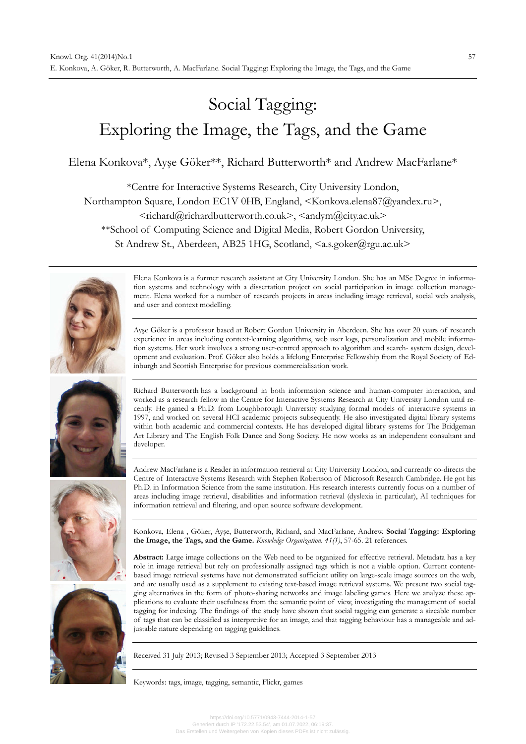# Social Tagging: Exploring the Image, the Tags, and the Game

Elena Konkova\*, Ayşe Göker\*\*, Richard Butterworth\* and Andrew MacFarlane\*

\*Centre for Interactive Systems Research, City University London,

Northampton Square, London EC1V 0HB, England, <Konkova.elena87@yandex.ru>,

 $\leq$ richard $@$ richardbutterworth.co.uk>, $\leq$ andym $@$ city.ac.uk>

\*\*School of Computing Science and Digital Media, Robert Gordon University,

St Andrew St., Aberdeen, AB25 1HG, Scotland, <a.s.goker@rgu.ac.uk>



Elena Konkova is a former research assistant at City University London. She has an MSc Degree in information systems and technology with a dissertation project on social participation in image collection management. Elena worked for a number of research projects in areas including image retrieval, social web analysis, and user and context modelling.

Ayşe Göker is a professor based at Robert Gordon University in Aberdeen. She has over 20 years of research experience in areas including context-learning algorithms, web user logs, personalization and mobile information systems. Her work involves a strong user-centred approach to algorithm and search- system design, development and evaluation. Prof. Göker also holds a lifelong Enterprise Fellowship from the Royal Society of Edinburgh and Scottish Enterprise for previous commercialisation work.



Richard Butterworth has a background in both information science and human-computer interaction, and worked as a research fellow in the Centre for Interactive Systems Research at City University London until recently. He gained a Ph.D. from Loughborough University studying formal models of interactive systems in 1997, and worked on several HCI academic projects subsequently. He also investigated digital library systems within both academic and commercial contexts. He has developed digital library systems for The Bridgeman Art Library and The English Folk Dance and Song Society. He now works as an independent consultant and developer.

Andrew MacFarlane is a Reader in information retrieval at City University London, and currently co-directs the Centre of Interactive Systems Research with Stephen Robertson of Microsoft Research Cambridge. He got his Ph.D. in Information Science from the same institution. His research interests currently focus on a number of areas including image retrieval, disabilities and information retrieval (dyslexia in particular), AI techniques for information retrieval and filtering, and open source software development.

Konkova, Elena , Göker, Ayşe, Butterworth, Richard, and MacFarlane, Andrew. **Social Tagging: Exploring the Image, the Tags, and the Game.** *Knowledge Organization. 41(1)*, 57-65. 21 references.

**Abstract:** Large image collections on the Web need to be organized for effective retrieval. Metadata has a key role in image retrieval but rely on professionally assigned tags which is not a viable option. Current contentbased image retrieval systems have not demonstrated sufficient utility on large-scale image sources on the web, and are usually used as a supplement to existing text-based image retrieval systems. We present two social tagging alternatives in the form of photo-sharing networks and image labeling games. Here we analyze these applications to evaluate their usefulness from the semantic point of view, investigating the management of social tagging for indexing. The findings of the study have shown that social tagging can generate a sizeable number of tags that can be classified as interpretive for an image, and that tagging behaviour has a manageable and adjustable nature depending on tagging guidelines.

Received 31 July 2013; Revised 3 September 2013; Accepted 3 September 2013

Keywords: tags, image, tagging, semantic, Flickr, games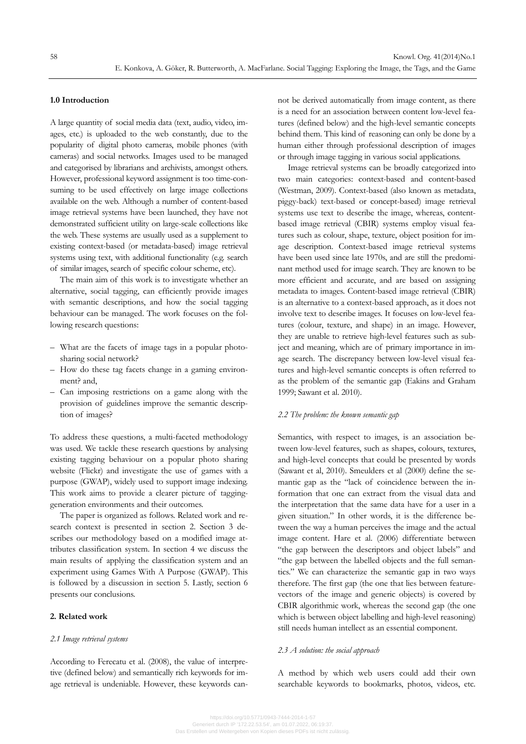# **1.0 Introduction**

A large quantity of social media data (text, audio, video, images, etc.) is uploaded to the web constantly, due to the popularity of digital photo cameras, mobile phones (with cameras) and social networks. Images used to be managed and categorised by librarians and archivists, amongst others. However, professional keyword assignment is too time-consuming to be used effectively on large image collections available on the web. Although a number of content-based image retrieval systems have been launched, they have not demonstrated sufficient utility on large-scale collections like the web. These systems are usually used as a supplement to existing context-based (or metadata-based) image retrieval systems using text, with additional functionality (e.g. search of similar images, search of specific colour scheme, etc).

The main aim of this work is to investigate whether an alternative, social tagging, can efficiently provide images with semantic descriptions, and how the social tagging behaviour can be managed. The work focuses on the following research questions:

- What are the facets of image tags in a popular photosharing social network?
- How do these tag facets change in a gaming environment? and,
- Can imposing restrictions on a game along with the provision of guidelines improve the semantic description of images?

To address these questions, a multi-faceted methodology was used. We tackle these research questions by analysing existing tagging behaviour on a popular photo sharing website (Flickr) and investigate the use of games with a purpose (GWAP), widely used to support image indexing. This work aims to provide a clearer picture of tagginggeneration environments and their outcomes.

The paper is organized as follows. Related work and research context is presented in section 2. Section 3 describes our methodology based on a modified image attributes classification system. In section 4 we discuss the main results of applying the classification system and an experiment using Games With A Purpose (GWAP). This is followed by a discussion in section 5. Lastly, section 6 presents our conclusions.

# **2. Related work**

#### *2.1 Image retrieval systems*

According to Ferecatu et al. (2008), the value of interpretive (defined below) and semantically rich keywords for image retrieval is undeniable. However, these keywords cannot be derived automatically from image content, as there is a need for an association between content low-level features (defined below) and the high-level semantic concepts behind them. This kind of reasoning can only be done by a human either through professional description of images or through image tagging in various social applications.

Image retrieval systems can be broadly categorized into two main categories: context-based and content-based (Westman, 2009). Context-based (also known as metadata, piggy-back) text-based or concept-based) image retrieval systems use text to describe the image, whereas, contentbased image retrieval (CBIR) systems employ visual features such as colour, shape, texture, object position for image description. Context-based image retrieval systems have been used since late 1970s, and are still the predominant method used for image search. They are known to be more efficient and accurate, and are based on assigning metadata to images. Content-based image retrieval (CBIR) is an alternative to a context-based approach, as it does not involve text to describe images. It focuses on low-level features (colour, texture, and shape) in an image. However, they are unable to retrieve high-level features such as subject and meaning, which are of primary importance in image search. The discrepancy between low-level visual features and high-level semantic concepts is often referred to as the problem of the semantic gap (Eakins and Graham 1999; Sawant et al. 2010).

# *2.2 The problem: the known semantic gap*

Semantics, with respect to images, is an association between low-level features, such as shapes, colours, textures, and high-level concepts that could be presented by words (Sawant et al, 2010). Smeulders et al (2000) define the semantic gap as the "lack of coincidence between the information that one can extract from the visual data and the interpretation that the same data have for a user in a given situation." In other words, it is the difference between the way a human perceives the image and the actual image content. Hare et al. (2006) differentiate between "the gap between the descriptors and object labels" and "the gap between the labelled objects and the full semantics." We can characterize the semantic gap in two ways therefore. The first gap (the one that lies between featurevectors of the image and generic objects) is covered by CBIR algorithmic work, whereas the second gap (the one which is between object labelling and high-level reasoning) still needs human intellect as an essential component.

# *2.3 A solution: the social approach*

A method by which web users could add their own searchable keywords to bookmarks, photos, videos, etc.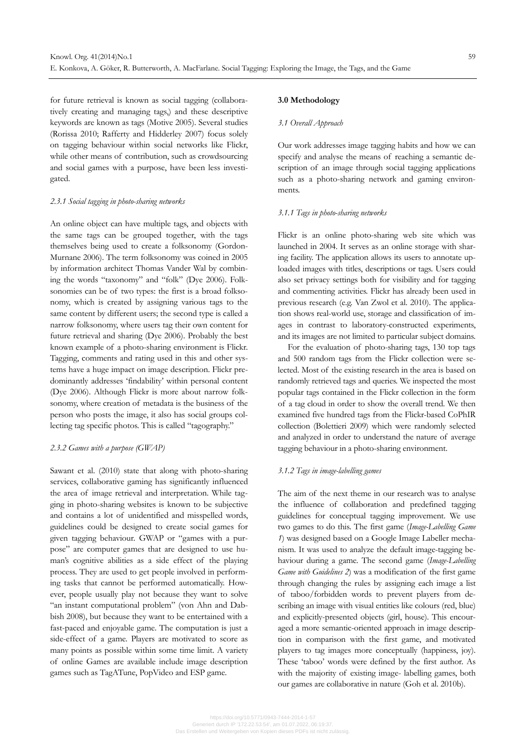for future retrieval is known as social tagging (collaboratively creating and managing tags,) and these descriptive keywords are known as tags (Motive 2005). Several studies (Rorissa 2010; Rafferty and Hidderley 2007) focus solely on tagging behaviour within social networks like Flickr, while other means of contribution, such as crowdsourcing and social games with a purpose, have been less investigated.

## *2.3.1 Social tagging in photo-sharing networks*

An online object can have multiple tags, and objects with the same tags can be grouped together, with the tags themselves being used to create a folksonomy (Gordon-Murnane 2006). The term folksonomy was coined in 2005 by information architect Thomas Vander Wal by combining the words "taxonomy" and "folk" (Dye 2006). Folksonomies can be of two types: the first is a broad folksonomy, which is created by assigning various tags to the same content by different users; the second type is called a narrow folksonomy, where users tag their own content for future retrieval and sharing (Dye 2006). Probably the best known example of a photo-sharing environment is Flickr. Tagging, comments and rating used in this and other systems have a huge impact on image description. Flickr predominantly addresses 'findability' within personal content (Dye 2006). Although Flickr is more about narrow folksonomy, where creation of metadata is the business of the person who posts the image, it also has social groups collecting tag specific photos. This is called "tagography."

# *2.3.2 Games with a purpose (GWAP)*

Sawant et al. (2010) state that along with photo-sharing services, collaborative gaming has significantly influenced the area of image retrieval and interpretation. While tagging in photo-sharing websites is known to be subjective and contains a lot of unidentified and misspelled words, guidelines could be designed to create social games for given tagging behaviour. GWAP or "games with a purpose" are computer games that are designed to use human's cognitive abilities as a side effect of the playing process. They are used to get people involved in performing tasks that cannot be performed automatically. However, people usually play not because they want to solve "an instant computational problem" (von Ahn and Dabbish 2008), but because they want to be entertained with a fast-paced and enjoyable game. The computation is just a side-effect of a game. Players are motivated to score as many points as possible within some time limit. A variety of online Games are available include image description games such as TagATune, PopVideo and ESP game.

### **3.0 Methodology**

# *3.1 Overall Approach*

Our work addresses image tagging habits and how we can specify and analyse the means of reaching a semantic description of an image through social tagging applications such as a photo-sharing network and gaming environments.

#### *3.1.1 Tags in photo-sharing networks*

Flickr is an online photo-sharing web site which was launched in 2004. It serves as an online storage with sharing facility. The application allows its users to annotate uploaded images with titles, descriptions or tags. Users could also set privacy settings both for visibility and for tagging and commenting activities. Flickr has already been used in previous research (e.g. Van Zwol et al. 2010). The application shows real-world use, storage and classification of images in contrast to laboratory-constructed experiments, and its images are not limited to particular subject domains.

For the evaluation of photo-sharing tags, 130 top tags and 500 random tags from the Flickr collection were selected. Most of the existing research in the area is based on randomly retrieved tags and queries. We inspected the most popular tags contained in the Flickr collection in the form of a tag cloud in order to show the overall trend. We then examined five hundred tags from the Flickr-based CoPhIR collection (Bolettieri 2009) which were randomly selected and analyzed in order to understand the nature of average tagging behaviour in a photo-sharing environment.

#### *3.1.2 Tags in image-labelling games*

The aim of the next theme in our research was to analyse the influence of collaboration and predefined tagging guidelines for conceptual tagging improvement. We use two games to do this. The first game (*Image-Labelling Game 1*) was designed based on a Google Image Labeller mechanism. It was used to analyze the default image-tagging behaviour during a game. The second game (*Image-Labelling Game with Guidelines 2*) was a modification of the first game through changing the rules by assigning each image a list of taboo/forbidden words to prevent players from describing an image with visual entities like colours (red, blue) and explicitly-presented objects (girl, house). This encouraged a more semantic-oriented approach in image description in comparison with the first game, and motivated players to tag images more conceptually (happiness, joy). These 'taboo' words were defined by the first author. As with the majority of existing image- labelling games, both our games are collaborative in nature (Goh et al. 2010b).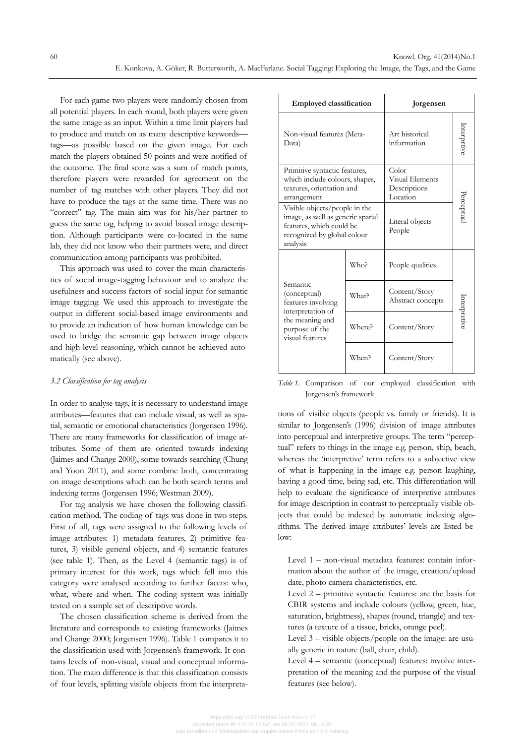For each game two players were randomly chosen from all potential players. In each round, both players were given the same image as an input. Within a time limit players had to produce and match on as many descriptive keywords tags—as possible based on the given image. For each match the players obtained 50 points and were notified of the outcome. The final score was a sum of match points, therefore players were rewarded for agreement on the number of tag matches with other players. They did not have to produce the tags at the same time. There was no "correct" tag. The main aim was for his/her partner to guess the same tag, helping to avoid biased image description. Although participants were co-located in the same lab, they did not know who their partners were, and direct communication among participants was prohibited.

This approach was used to cover the main characteristics of social image-tagging behaviour and to analyze the usefulness and success factors of social input for semantic image tagging. We used this approach to investigate the output in different social-based image environments and to provide an indication of how human knowledge can be used to bridge the semantic gap between image objects and high-level reasoning, which cannot be achieved automatically (see above).

# *3.2 Classification for tag analysis*

In order to analyse tags, it is necessary to understand image attributes—features that can include visual, as well as spatial, semantic or emotional characteristics (Jorgensen 1996). There are many frameworks for classification of image attributes. Some of them are oriented towards indexing (Jaimes and Change 2000), some towards searching (Chung and Yoon 2011), and some combine both, concentrating on image descriptions which can be both search terms and indexing terms (Jorgensen 1996; Westman 2009).

For tag analysis we have chosen the following classification method. The coding of tags was done in two steps. First of all, tags were assigned to the following levels of image attributes: 1) metadata features, 2) primitive features, 3) visible general objects, and 4) semantic features (see table 1). Then, as the Level 4 (semantic tags) is of primary interest for this work, tags which fell into this category were analysed according to further facets: who, what, where and when. The coding system was initially tested on a sample set of descriptive words.

The chosen classification scheme is derived from the literature and corresponds to existing frameworks (Jaimes and Change 2000; Jorgensen 1996). Table 1 compares it to the classification used with Jorgensen's framework. It contains levels of non-visual, visual and conceptual information. The main difference is that this classification consists of four levels, splitting visible objects from the interpreta-

| <b>Employed classification</b>                                                                                                            |        | Jorgensen                                            |              |
|-------------------------------------------------------------------------------------------------------------------------------------------|--------|------------------------------------------------------|--------------|
| Non-visual features (Meta-<br>Data)                                                                                                       |        | Art historical<br>information                        | nterprtive   |
| Primitive syntactic features,<br>which include colours, shapes,<br>textures, orientation and<br>arrangement                               |        | Color<br>Visual Elements<br>Descriptions<br>Location | Perceptua    |
| Visible objects/people in the<br>image, as well as generic spatial<br>features, which could be<br>recognized by global colour<br>analysis |        | Literal objects<br>People                            |              |
| Semantic<br>(conceptual)<br>features involving<br>interpretation of<br>the meaning and<br>purpose of the<br>visual features               | Who?   | People qualities                                     | Interpretive |
|                                                                                                                                           | What?  | Content/Story<br>Abstract concepts                   |              |
|                                                                                                                                           | Where? | Content/Story                                        |              |
|                                                                                                                                           | When?  | Content/Story                                        |              |

*Table 1.* Comparison of our employed classification with Jorgensen's framework

tions of visible objects (people vs. family or friends). It is similar to Jorgensen's (1996) division of image attributes into perceptual and interpretive groups. The term "perceptual" refers to things in the image e.g. person, ship, beach, whereas the 'interpretive' term refers to a subjective view of what is happening in the image e.g. person laughing, having a good time, being sad, etc. This differentiation will help to evaluate the significance of interpretive attributes for image description in contrast to perceptually visible objects that could be indexed by automatic indexing algorithms. The derived image attributes' levels are listed below:

Level 1 – non-visual metadata features: contain information about the author of the image, creation/upload date, photo camera characteristics, etc.

Level 2 – primitive syntactic features: are the basis for CBIR systems and include colours (yellow, green, hue, saturation, brightness), shapes (round, triangle) and textures (a texture of a tissue, bricks, orange peel).

Level 3 – visible objects/people on the image: are usually generic in nature (ball, chair, child).

Level 4 – semantic (conceptual) features: involve interpretation of the meaning and the purpose of the visual features (see below).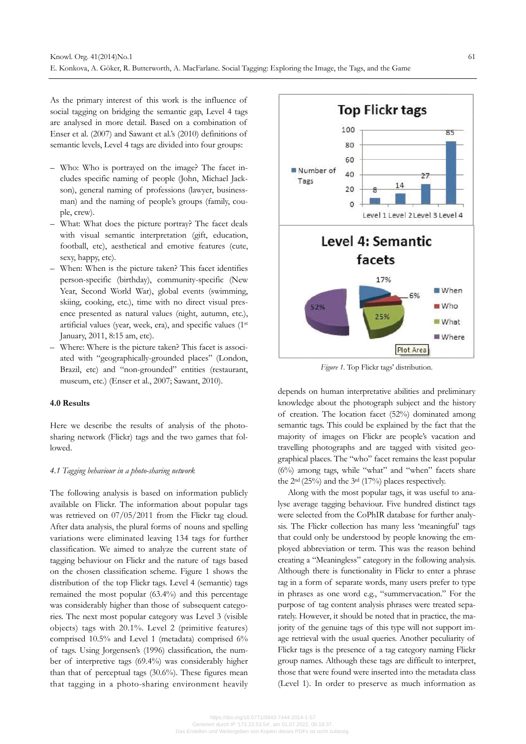As the primary interest of this work is the influence of social tagging on bridging the semantic gap, Level 4 tags are analysed in more detail. Based on a combination of Enser et al. (2007) and Sawant et al.'s (2010) definitions of semantic levels, Level 4 tags are divided into four groups:

- Who: Who is portrayed on the image? The facet includes specific naming of people (John, Michael Jackson), general naming of professions (lawyer, businessman) and the naming of people's groups (family, couple, crew).
- What: What does the picture portray? The facet deals with visual semantic interpretation (gift, education, football, etc), aesthetical and emotive features (cute, sexy, happy, etc).
- When: When is the picture taken? This facet identifies person-specific (birthday), community-specific (New Year, Second World War), global events (swimming, skiing, cooking, etc.), time with no direct visual presence presented as natural values (night, autumn, etc.), artificial values (year, week, era), and specific values (1st January, 2011, 8:15 am, etc).
- Where: Where is the picture taken? This facet is associated with "geographically-grounded places" (London, Brazil, etc) and "non-grounded" entities (restaurant, museum, etc.) (Enser et al., 2007; Sawant, 2010).

# **4.0 Results**

Here we describe the results of analysis of the photosharing network (Flickr) tags and the two games that followed.

#### *4.1 Tagging behaviour in a photo-sharing network*

The following analysis is based on information publicly available on Flickr. The information about popular tags was retrieved on 07/05/2011 from the Flickr tag cloud. After data analysis, the plural forms of nouns and spelling variations were eliminated leaving 134 tags for further classification. We aimed to analyze the current state of tagging behaviour on Flickr and the nature of tags based on the chosen classification scheme. Figure 1 shows the distribution of the top Flickr tags. Level 4 (semantic) tags remained the most popular (63.4%) and this percentage was considerably higher than those of subsequent categories. The next most popular category was Level 3 (visible objects) tags with 20.1%. Level 2 (primitive features) comprised 10.5% and Level 1 (metadata) comprised 6% of tags. Using Jorgensen's (1996) classification, the number of interpretive tags (69.4%) was considerably higher than that of perceptual tags (30.6%). These figures mean that tagging in a photo-sharing environment heavily



*Figure 1.* Top Flickr tags' distribution.

depends on human interpretative abilities and preliminary knowledge about the photograph subject and the history of creation. The location facet (52%) dominated among semantic tags. This could be explained by the fact that the majority of images on Flickr are people's vacation and travelling photographs and are tagged with visited geographical places. The "who" facet remains the least popular (6%) among tags, while "what" and "when" facets share the 2nd (25%) and the 3rd (17%) places respectively.

Along with the most popular tags, it was useful to analyse average tagging behaviour. Five hundred distinct tags were selected from the CoPhIR database for further analysis. The Flickr collection has many less 'meaningful' tags that could only be understood by people knowing the employed abbreviation or term. This was the reason behind creating a "Meaningless" category in the following analysis. Although there is functionality in Flickr to enter a phrase tag in a form of separate words, many users prefer to type in phrases as one word e.g., "summervacation." For the purpose of tag content analysis phrases were treated separately. However, it should be noted that in practice, the majority of the genuine tags of this type will not support image retrieval with the usual queries. Another peculiarity of Flickr tags is the presence of a tag category naming Flickr group names. Although these tags are difficult to interpret, those that were found were inserted into the metadata class (Level 1). In order to preserve as much information as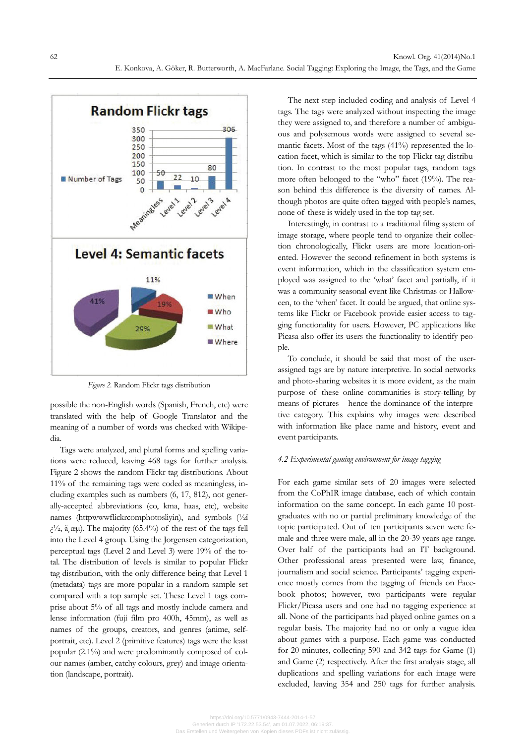

*Figure 2.* Random Flickr tags distribution

possible the non-English words (Spanish, French, etc) were translated with the help of Google Translator and the meaning of a number of words was checked with Wikipedia.

Tags were analyzed, and plural forms and spelling variations were reduced, leaving 468 tags for further analysis. Figure 2 shows the random Flickr tag distributions. About 11% of the remaining tags were coded as meaningless, including examples such as numbers (6, 17, 812), not generally-accepted abbreviations (co, kma, haas, etc), website names (httpwwwflickrcomphotosliyin), and symbols (½ï  $i^{1/2}$ , ä, æµ). The majority (65.4%) of the rest of the tags fell into the Level 4 group. Using the Jorgensen categorization, perceptual tags (Level 2 and Level 3) were 19% of the total. The distribution of levels is similar to popular Flickr tag distribution, with the only difference being that Level 1 (metadata) tags are more popular in a random sample set compared with a top sample set. These Level 1 tags comprise about 5% of all tags and mostly include camera and lense information (fuji film pro 400h, 45mm), as well as names of the groups, creators, and genres (anime, selfportrait, etc). Level 2 (primitive features) tags were the least popular (2.1%) and were predominantly composed of colour names (amber, catchy colours, grey) and image orientation (landscape, portrait).

The next step included coding and analysis of Level 4 tags. The tags were analyzed without inspecting the image they were assigned to, and therefore a number of ambiguous and polysemous words were assigned to several semantic facets. Most of the tags (41%) represented the location facet, which is similar to the top Flickr tag distribution. In contrast to the most popular tags, random tags more often belonged to the "who" facet (19%). The reason behind this difference is the diversity of names. Although photos are quite often tagged with people's names, none of these is widely used in the top tag set.

Interestingly, in contrast to a traditional filing system of image storage, where people tend to organize their collection chronologically, Flickr users are more location-oriented. However the second refinement in both systems is event information, which in the classification system employed was assigned to the 'what' facet and partially, if it was a community seasonal event like Christmas or Halloween, to the 'when' facet. It could be argued, that online systems like Flickr or Facebook provide easier access to tagging functionality for users. However, PC applications like Picasa also offer its users the functionality to identify people.

To conclude, it should be said that most of the userassigned tags are by nature interpretive. In social networks and photo-sharing websites it is more evident, as the main purpose of these online communities is story-telling by means of pictures – hence the dominance of the interpretive category. This explains why images were described with information like place name and history, event and event participants.

#### *4.2 Experimental gaming environment for image tagging*

For each game similar sets of 20 images were selected from the CoPhIR image database, each of which contain information on the same concept. In each game 10 postgraduates with no or partial preliminary knowledge of the topic participated. Out of ten participants seven were female and three were male, all in the 20-39 years age range. Over half of the participants had an IT background. Other professional areas presented were law, finance, journalism and social science. Participants' tagging experience mostly comes from the tagging of friends on Facebook photos; however, two participants were regular Flickr/Picasa users and one had no tagging experience at all. None of the participants had played online games on a regular basis. The majority had no or only a vague idea about games with a purpose. Each game was conducted for 20 minutes, collecting 590 and 342 tags for Game (1) and Game (2) respectively. After the first analysis stage, all duplications and spelling variations for each image were excluded, leaving 354 and 250 tags for further analysis.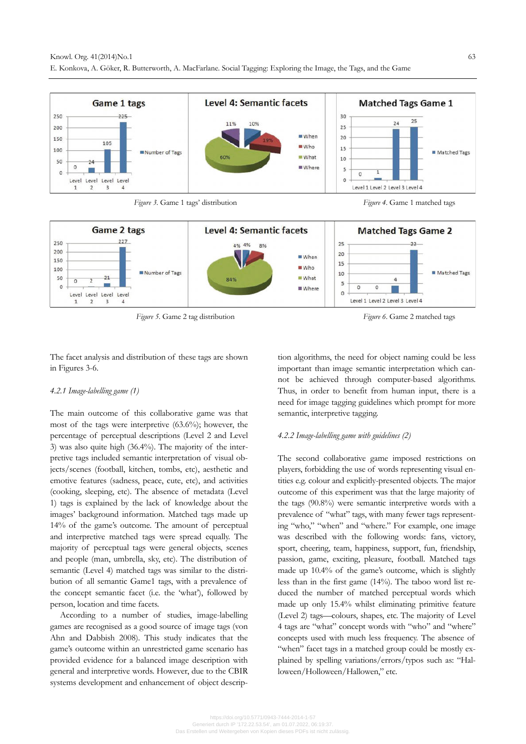



*Figure 5*. Game 2 tag distribution *Figure 6*. Game 2 matched tags

The facet analysis and distribution of these tags are shown in Figures 3-6.

# *4.2.1 Image-labelling game (1)*

The main outcome of this collaborative game was that most of the tags were interpretive (63.6%); however, the percentage of perceptual descriptions (Level 2 and Level 3) was also quite high (36.4%). The majority of the interpretive tags included semantic interpretation of visual objects/scenes (football, kitchen, tombs, etc), aesthetic and emotive features (sadness, peace, cute, etc), and activities (cooking, sleeping, etc). The absence of metadata (Level 1) tags is explained by the lack of knowledge about the images' background information. Matched tags made up 14% of the game's outcome. The amount of perceptual and interpretive matched tags were spread equally. The majority of perceptual tags were general objects, scenes and people (man, umbrella, sky, etc). The distribution of semantic (Level 4) matched tags was similar to the distribution of all semantic Game1 tags, with a prevalence of the concept semantic facet (i.e. the 'what'), followed by person, location and time facets.

According to a number of studies, image-labelling games are recognised as a good source of image tags (von Ahn and Dabbish 2008). This study indicates that the game's outcome within an unrestricted game scenario has provided evidence for a balanced image description with general and interpretive words. However, due to the CBIR systems development and enhancement of object description algorithms, the need for object naming could be less important than image semantic interpretation which cannot be achieved through computer-based algorithms. Thus, in order to benefit from human input, there is a need for image tagging guidelines which prompt for more semantic, interpretive tagging.

# *4.2.2 Image-labelling game with guidelines (2)*

The second collaborative game imposed restrictions on players, forbidding the use of words representing visual entities e.g. colour and explicitly-presented objects. The major outcome of this experiment was that the large majority of the tags (90.8%) were semantic interpretive words with a prevalence of "what" tags, with many fewer tags representing "who," "when" and "where." For example, one image was described with the following words: fans, victory, sport, cheering, team, happiness, support, fun, friendship, passion, game, exciting, pleasure, football. Matched tags made up 10.4% of the game's outcome, which is slightly less than in the first game (14%). The taboo word list reduced the number of matched perceptual words which made up only 15.4% whilst eliminating primitive feature (Level 2) tags—colours, shapes, etc. The majority of Level 4 tags are "what" concept words with "who" and "where" concepts used with much less frequency. The absence of "when" facet tags in a matched group could be mostly explained by spelling variations/errors/typos such as: "Halloween/Holloween/Hallowen," etc.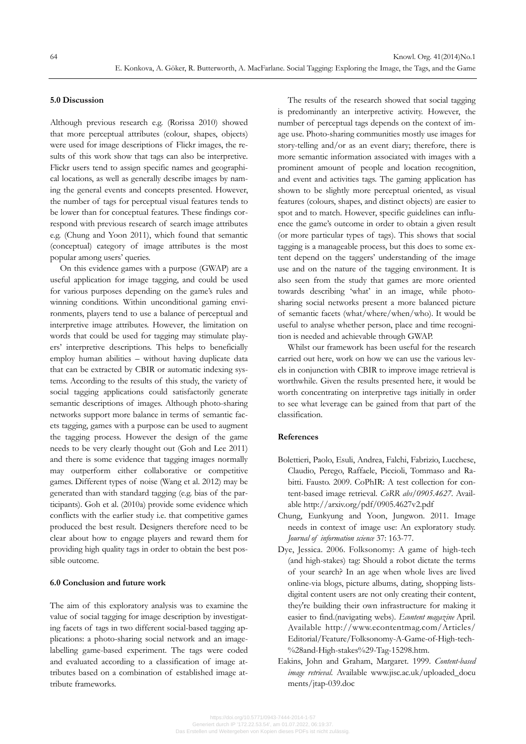# **5.0 Discussion**

Although previous research e.g. (Rorissa 2010) showed that more perceptual attributes (colour, shapes, objects) were used for image descriptions of Flickr images, the results of this work show that tags can also be interpretive. Flickr users tend to assign specific names and geographical locations, as well as generally describe images by naming the general events and concepts presented. However, the number of tags for perceptual visual features tends to be lower than for conceptual features. These findings correspond with previous research of search image attributes e.g. (Chung and Yoon 2011), which found that semantic (conceptual) category of image attributes is the most popular among users' queries.

On this evidence games with a purpose (GWAP) are a useful application for image tagging, and could be used for various purposes depending on the game's rules and winning conditions. Within unconditional gaming environments, players tend to use a balance of perceptual and interpretive image attributes. However, the limitation on words that could be used for tagging may stimulate players' interpretive descriptions. This helps to beneficially employ human abilities – without having duplicate data that can be extracted by CBIR or automatic indexing systems. According to the results of this study, the variety of social tagging applications could satisfactorily generate semantic descriptions of images. Although photo-sharing networks support more balance in terms of semantic facets tagging, games with a purpose can be used to augment the tagging process. However the design of the game needs to be very clearly thought out (Goh and Lee 2011) and there is some evidence that tagging images normally may outperform either collaborative or competitive games. Different types of noise (Wang et al. 2012) may be generated than with standard tagging (e.g. bias of the participants). Goh et al. (2010a) provide some evidence which conflicts with the earlier study i.e. that competitive games produced the best result. Designers therefore need to be clear about how to engage players and reward them for providing high quality tags in order to obtain the best possible outcome.

# **6.0 Conclusion and future work**

The aim of this exploratory analysis was to examine the value of social tagging for image description by investigating facets of tags in two different social-based tagging applications: a photo-sharing social network and an imagelabelling game-based experiment. The tags were coded and evaluated according to a classification of image attributes based on a combination of established image attribute frameworks.

The results of the research showed that social tagging is predominantly an interpretive activity. However, the number of perceptual tags depends on the context of image use. Photo-sharing communities mostly use images for story-telling and/or as an event diary; therefore, there is more semantic information associated with images with a prominent amount of people and location recognition, and event and activities tags. The gaming application has shown to be slightly more perceptual oriented, as visual features (colours, shapes, and distinct objects) are easier to spot and to match. However, specific guidelines can influence the game's outcome in order to obtain a given result (or more particular types of tags). This shows that social tagging is a manageable process, but this does to some extent depend on the taggers' understanding of the image use and on the nature of the tagging environment. It is also seen from the study that games are more oriented towards describing 'what' in an image, while photosharing social networks present a more balanced picture of semantic facets (what/where/when/who). It would be useful to analyse whether person, place and time recognition is needed and achievable through GWAP.

Whilst our framework has been useful for the research carried out here, work on how we can use the various levels in conjunction with CBIR to improve image retrieval is worthwhile. Given the results presented here, it would be worth concentrating on interpretive tags initially in order to see what leverage can be gained from that part of the classification.

# **References**

- Bolettieri, Paolo, Esuli, Andrea, Falchi, Fabrizio, Lucchese, Claudio, Perego, Raffaele, Piccioli, Tommaso and Rabitti. Fausto. 2009. CoPhIR: A test collection for content-based image retrieval. *CoRR abs/0905.4627*. Available http://arxiv.org/pdf/0905.4627v2.pdf
- Chung, Eunkyung and Yoon, Jungwon. 2011. Image needs in context of image use: An exploratory study. *Journal of information science* 37: 163-77.
- Dye, Jessica. 2006. Folksonomy: A game of high-tech (and high-stakes) tag: Should a robot dictate the terms of your search? In an age when whole lives are lived online-via blogs, picture albums, dating, shopping listsdigital content users are not only creating their content, they're building their own infrastructure for making it easier to find.(navigating webs). *Econtent magazine* April*.* Available http://www.econtentmag.com/Articles/ Editorial/Feature/Folksonomy-A-Game-of-High-tech- %28and-High-stakes%29-Tag-15298.htm.
- Eakins, John and Graham, Margaret. 1999. *Content-based image retrieval*. Available www.jisc.ac.uk/uploaded\_docu ments/jtap-039.doc